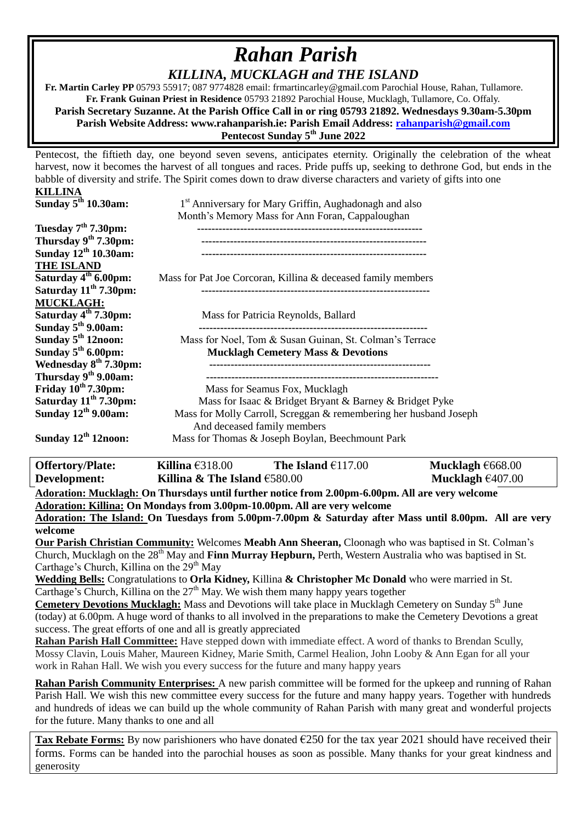## *Rahan Parish KILLINA, MUCKLAGH and THE ISLAND*

 **Fr. Martin Carley PP** 05793 55917; 087 9774828 email: frmartincarley@gmail.com Parochial House, Rahan, Tullamore. **Fr. Frank Guinan Priest in Residence** 05793 21892 Parochial House, Mucklagh, Tullamore, Co. Offaly. **Parish Secretary Suzanne. At the Parish Office Call in or ring 05793 21892. Wednesdays 9.30am-5.30pm Parish Website Address: www.rahanparish.ie: Parish Email Address: [rahanparish@gmail.com](mailto:rahanparish@gmail.com) Pentecost Sunday 5th June 2022**

Pentecost, the fiftieth day, one beyond seven sevens, anticipates eternity. Originally the celebration of the wheat harvest, now it becomes the harvest of all tongues and races. Pride puffs up, seeking to dethrone God, but ends in the babble of diversity and strife. The Spirit comes down to draw diverse characters and variety of gifts into one

| KILLINA                           |                                                                    |
|-----------------------------------|--------------------------------------------------------------------|
| Sunday $5th 10.30$ am:            | 1 <sup>st</sup> Anniversary for Mary Griffin, Aughadonagh and also |
|                                   | Month's Memory Mass for Ann Foran, Cappaloughan                    |
| Tuesday 7 <sup>th</sup> 7.30pm:   |                                                                    |
| Thursday $9th 7.30$ pm:           |                                                                    |
| Sunday 12 <sup>th</sup> 10.30am:  |                                                                    |
| <b>THE ISLAND</b>                 |                                                                    |
| Saturday 4 <sup>th</sup> 6.00pm:  | Mass for Pat Joe Corcoran, Killina & deceased family members       |
| Saturday $11th$ 7.30pm:           |                                                                    |
| <b>MUCKLAGH:</b>                  |                                                                    |
| Saturday 4 <sup>th</sup> 7.30pm:  | Mass for Patricia Reynolds, Ballard                                |
| Sunday $5th$ 9.00am:              |                                                                    |
| Sunday $5th 12$ noon:             | Mass for Noel, Tom & Susan Guinan, St. Colman's Terrace            |
| Sunday $5th 6.00$ pm:             | <b>Mucklagh Cemetery Mass &amp; Devotions</b>                      |
| Wednesday 8 <sup>th</sup> 7.30pm: |                                                                    |
| Thursday 9th 9.00am:              |                                                                    |
| Friday $10^{th}$ 7.30pm:          | Mass for Seamus Fox, Mucklagh                                      |
| Saturday 11 <sup>th</sup> 7.30pm: | Mass for Isaac & Bridget Bryant & Barney & Bridget Pyke            |
| Sunday 12 <sup>th</sup> 9.00am:   | Mass for Molly Carroll, Screggan & remembering her husband Joseph  |
|                                   | And deceased family members                                        |
| Sunday $12th 12$ noon:            | Mass for Thomas & Joseph Boylan, Beechmount Park                   |
|                                   |                                                                    |

**Offertory/Plate: Killina** €318.00 **The Island** €117.00 **Mucklagh** €668.00 **Development: Killina & The Island €580.00 Mucklagh €407.00** 

**Adoration: Mucklagh: On Thursdays until further notice from 2.00pm-6.00pm. All are very welcome Adoration: Killina: On Mondays from 3.00pm-10.00pm. All are very welcome Adoration: The Island: On Tuesdays from 5.00pm-7.00pm & Saturday after Mass until 8.00pm. All are very** 

**welcome**

**Our Parish Christian Community:** Welcomes **Meabh Ann Sheeran,** Cloonagh who was baptised in St. Colman's Church, Mucklagh on the 28<sup>th</sup> May and **Finn Murray Hepburn,** Perth, Western Australia who was baptised in St. Carthage's Church, Killina on the  $29<sup>th</sup>$  May

**Wedding Bells:** Congratulations to **Orla Kidney,** Killina **& Christopher Mc Donald** who were married in St. Carthage's Church, Killina on the  $27<sup>th</sup>$  May. We wish them many happy years together

**Cemetery Devotions Mucklagh:** Mass and Devotions will take place in Mucklagh Cemetery on Sunday 5<sup>th</sup> June (today) at 6.00pm. A huge word of thanks to all involved in the preparations to make the Cemetery Devotions a great success. The great efforts of one and all is greatly appreciated

**Rahan Parish Hall Committee:** Have stepped down with immediate effect. A word of thanks to Brendan Scully, Mossy Clavin, Louis Maher, Maureen Kidney, Marie Smith, Carmel Healion, John Looby & Ann Egan for all your work in Rahan Hall. We wish you every success for the future and many happy years

**Rahan Parish Community Enterprises:** A new parish committee will be formed for the upkeep and running of Rahan Parish Hall. We wish this new committee every success for the future and many happy years. Together with hundreds and hundreds of ideas we can build up the whole community of Rahan Parish with many great and wonderful projects for the future. Many thanks to one and all

**Tax Rebate Forms:** By now parishioners who have donated  $\epsilon$ 250 for the tax year 2021 should have received their forms. Forms can be handed into the parochial houses as soon as possible. Many thanks for your great kindness and generosity